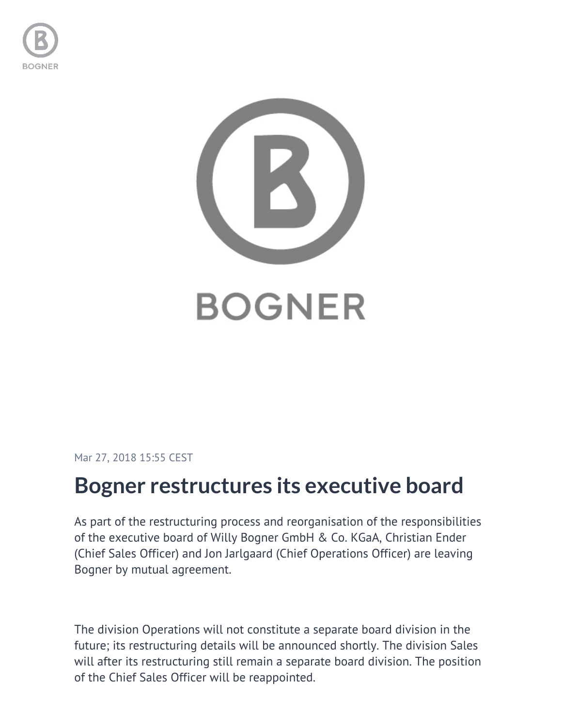



Mar 27, 2018 15:55 CEST

## **Bogner restructures its executive board**

As part of the restructuring process and reorganisation of the responsibilities of the executive board of Willy Bogner GmbH & Co. KGaA, Christian Ender (Chief Sales Officer) and Jon Jarlgaard (Chief Operations Officer) are leaving Bogner by mutual agreement.

The division Operations will not constitute a separate board division in the future; its restructuring details will be announced shortly. The division Sales will after its restructuring still remain a separate board division. The position of the Chief Sales Officer will be reappointed.